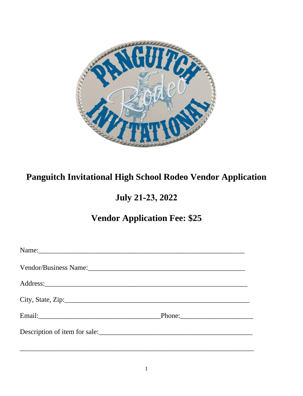

# Panguitch Invitational High School Rodeo Vendor Application

## July 21-23, 2022

# **Vendor Application Fee: \$25**

| Email: 2008. 2008. 2010. 2010. 2010. 2010. 2010. 2010. 2010. 2010. 2011. 2012. 2014. 2016. 2017. 2017. 2017. 20 | Phone: 2008 |  |
|-----------------------------------------------------------------------------------------------------------------|-------------|--|
| Description of item for sale:                                                                                   |             |  |
|                                                                                                                 |             |  |